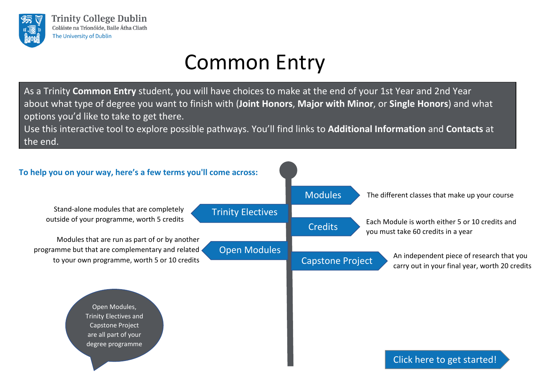<span id="page-0-0"></span>

As a Trinity **Common Entry** student, you will have choices to make at the end of your 1st Year and 2nd Year about what type of degree you want to finish with (**Joint Honors**, **Major with Minor**, or **Single Honors**) and what options you'd like to take to get there.

Use this interactive tool to explore possible pathways. You'll find links to **Additional [Information](#page-11-0)** and **[Contacts](#page-11-0)** at the end.

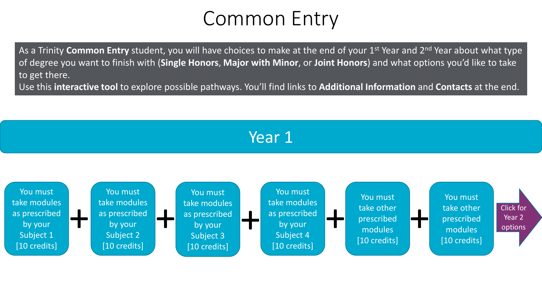<span id="page-1-0"></span>As a Trinity **Common Entry** student, you will have choices to make at the end of your 1st Year and 2nd Year about what type of degree you want to finish with (**Single Honors**, **Major with Minor**, or **Joint Honors**) and what options you'd like to take to get there.

Use this **interactive tool** to explore possible pathways. You'll find links to **Additional Information** and **Contacts** at the end.

#### Year 1

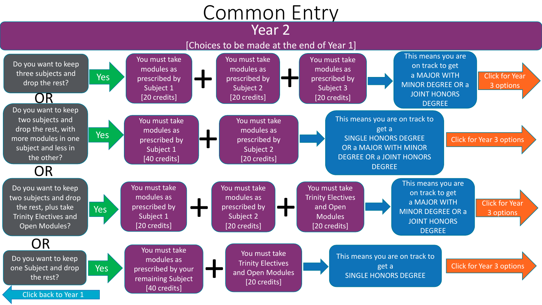#### Year 2

#### [Choices to be made at the end of Year 1]

<span id="page-2-0"></span>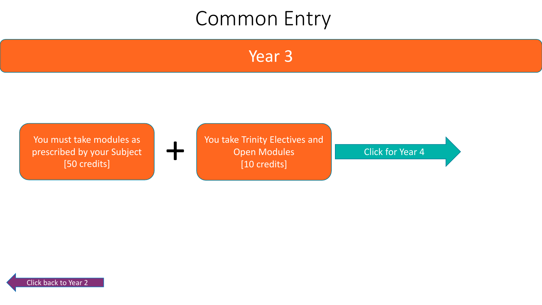Year 3

<span id="page-3-0"></span>

You take Trinity Electives and Open Modules [10 credits] St take modules as<br>
led by your Subject<br>
[50 credits] The [Click for Year 4](#page-7-0)<br>
[10 credits]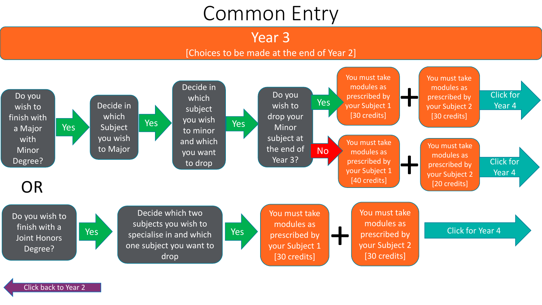Year 3

#### [Choices to be made at the end of Year 2]

<span id="page-4-0"></span>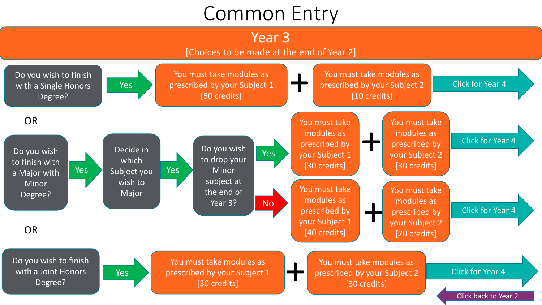#### Year 3

[Choices to be made at the end of Year 2]

<span id="page-5-0"></span>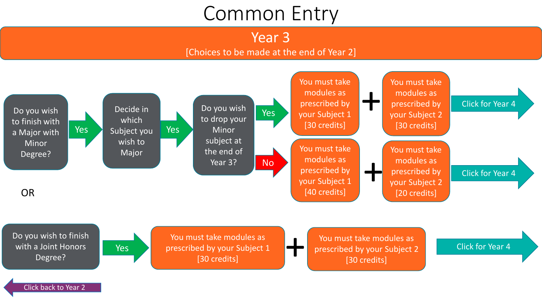Year 3

#### [Choices to be made at the end of Year 2]

<span id="page-6-0"></span>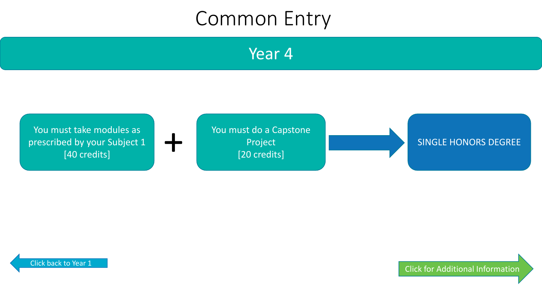Year 4

<span id="page-7-0"></span>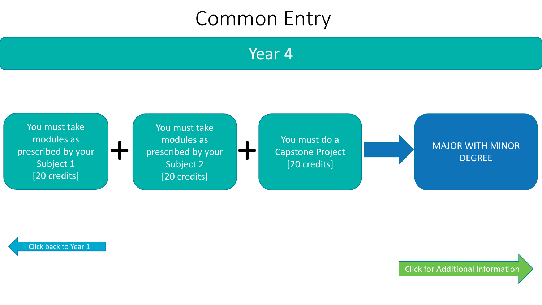Year 4

<span id="page-8-0"></span>

[Click back to Year 1](#page-1-0)

[Click for Additional Information](#page-11-0)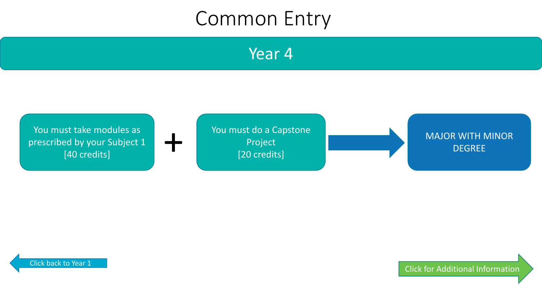Year 4

<span id="page-9-0"></span>

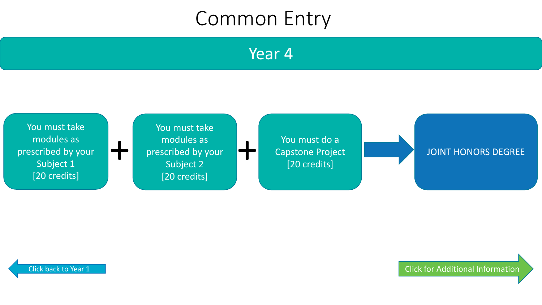Year 4

<span id="page-10-0"></span>

[Click back to Year 1](#page-1-0) [Click for Additional Information](#page-11-0)